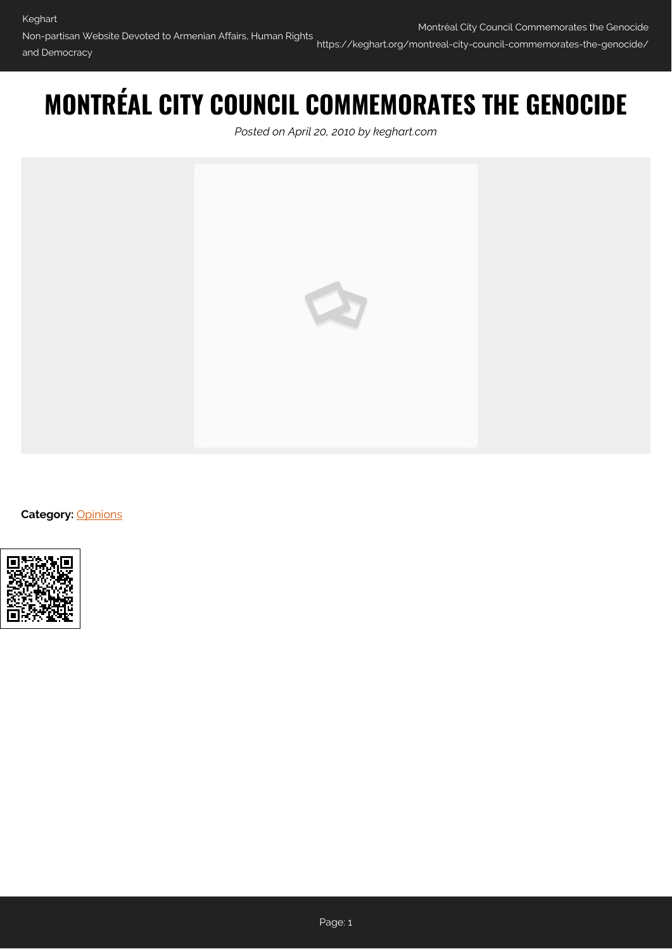## **MONTRÉAL CITY COUNCIL COMMEMORATES THE GENOCIDE**

*Posted on April 20, 2010 by keghart.com*



**Category: [Opinions](https://keghart.org/category/opinions/)** 

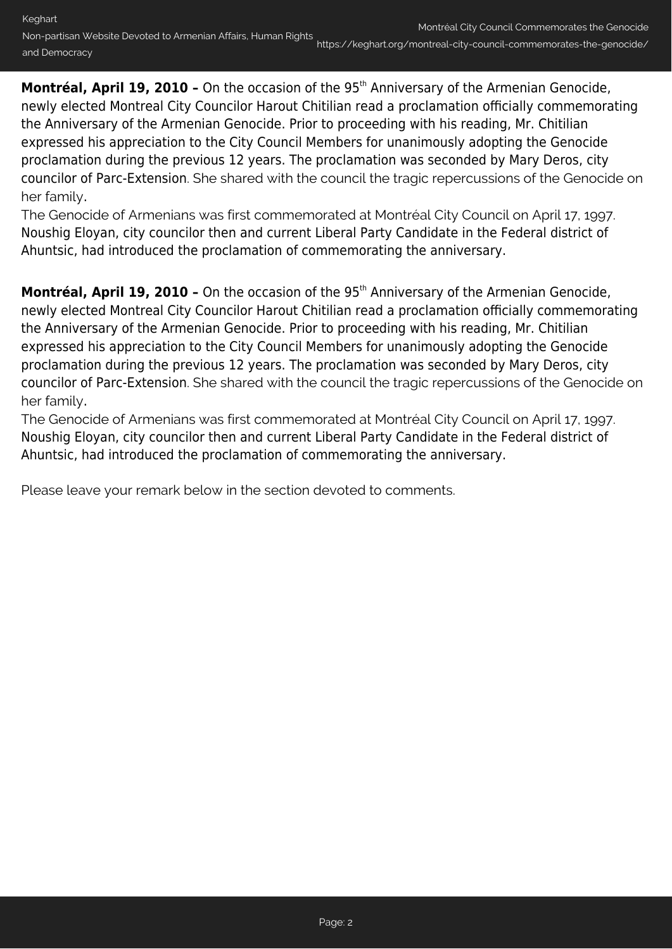Montréal, April 19, 2010 - On the occasion of the 95<sup>th</sup> Anniversary of the Armenian Genocide, newly elected Montreal City Councilor Harout Chitilian read a proclamation officially commemorating the Anniversary of the Armenian Genocide. Prior to proceeding with his reading, Mr. Chitilian expressed his appreciation to the City Council Members for unanimously adopting the Genocide proclamation during the previous 12 years. The proclamation was seconded by Mary Deros, city councilor of Parc-Extension. She shared with the council the tragic repercussions of the Genocide on her family.

The Genocide of Armenians was first commemorated at Montréal City Council on April 17, 1997. Noushig Eloyan, city councilor then and current Liberal Party Candidate in the Federal district of Ahuntsic, had introduced the proclamation of commemorating the anniversary.

Montréal, April 19, 2010 - On the occasion of the 95<sup>th</sup> Anniversary of the Armenian Genocide, newly elected Montreal City Councilor Harout Chitilian read a proclamation officially commemorating the Anniversary of the Armenian Genocide. Prior to proceeding with his reading, Mr. Chitilian expressed his appreciation to the City Council Members for unanimously adopting the Genocide proclamation during the previous 12 years. The proclamation was seconded by Mary Deros, city councilor of Parc-Extension. She shared with the council the tragic repercussions of the Genocide on her family.

The Genocide of Armenians was first commemorated at Montréal City Council on April 17, 1997. Noushig Eloyan, city councilor then and current Liberal Party Candidate in the Federal district of Ahuntsic, had introduced the proclamation of commemorating the anniversary.

Please leave your remark below in the section devoted to comments.